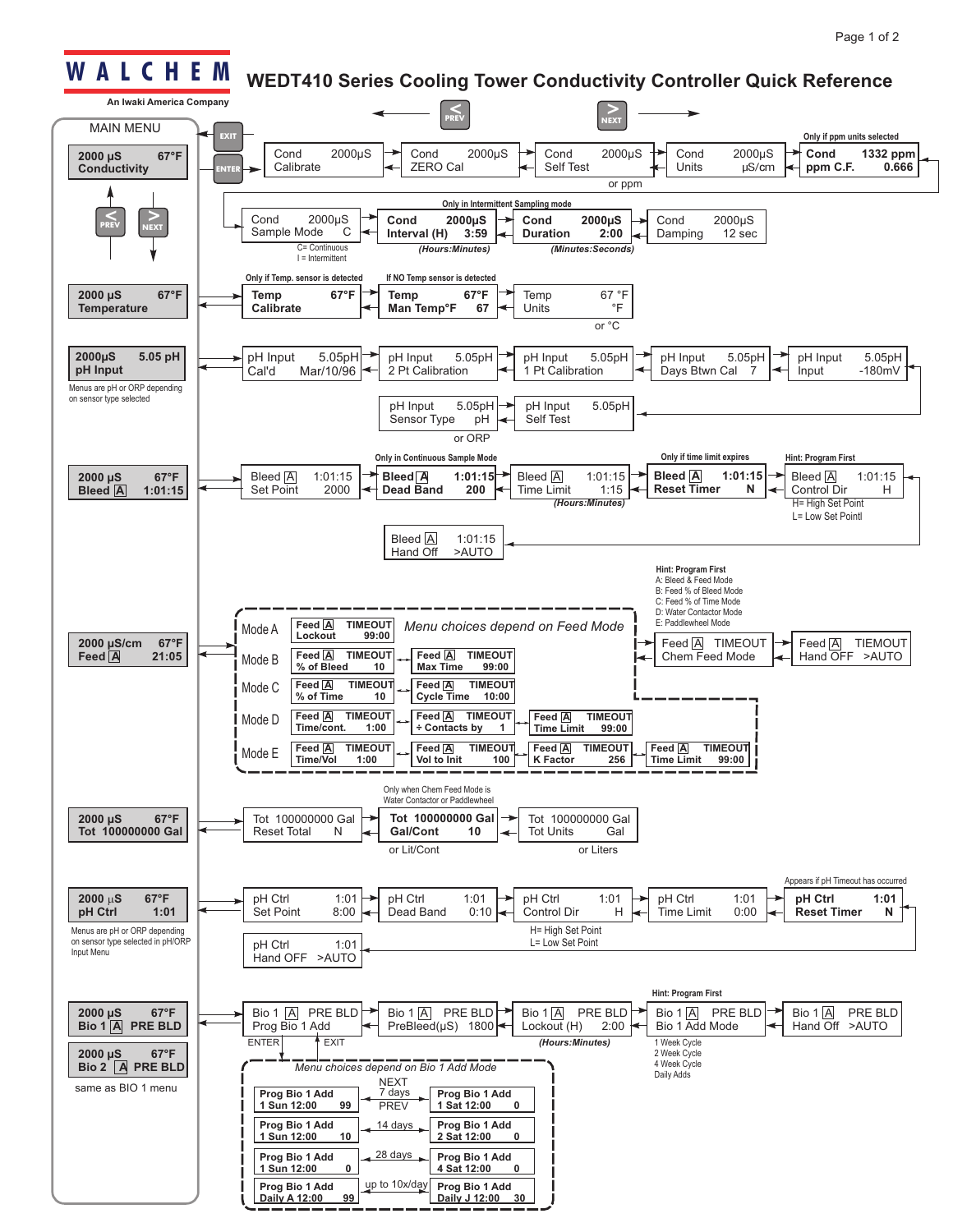## **W A L C H E M**

## **WEDT410 Series Cooling Tower Conductivity Controller Quick Reference**